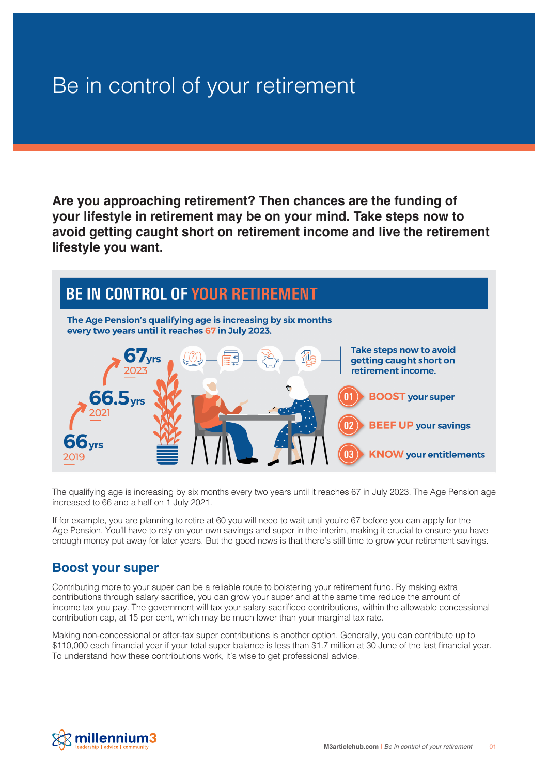## Be in control of your retirement

**Are you approaching retirement? Then chances are the funding of your lifestyle in retirement may be on your mind. Take steps now to avoid getting caught short on retirement income and live the retirement lifestyle you want.** 



The qualifying age is increasing by six months every two years until it reaches 67 in July 2023. The Age Pension age increased to 66 and a half on 1 July 2021.

If for example, you are planning to retire at 60 you will need to wait until you're 67 before you can apply for the Age Pension. You'll have to rely on your own savings and super in the interim, making it crucial to ensure you have enough money put away for later years. But the good news is that there's still time to grow your retirement savings.

## **Boost your super**

Contributing more to your super can be a reliable route to bolstering your retirement fund. By making extra contributions through salary sacrifice, you can grow your super and at the same time reduce the amount of income tax you pay. The government will tax your salary sacrificed contributions, within the allowable concessional contribution cap, at 15 per cent, which may be much lower than your marginal tax rate.

Making non-concessional or after-tax super contributions is another option. Generally, you can contribute up to \$110,000 each financial year if your total super balance is less than \$1.7 million at 30 June of the last financial year. To understand how these contributions work, it's wise to get professional advice.